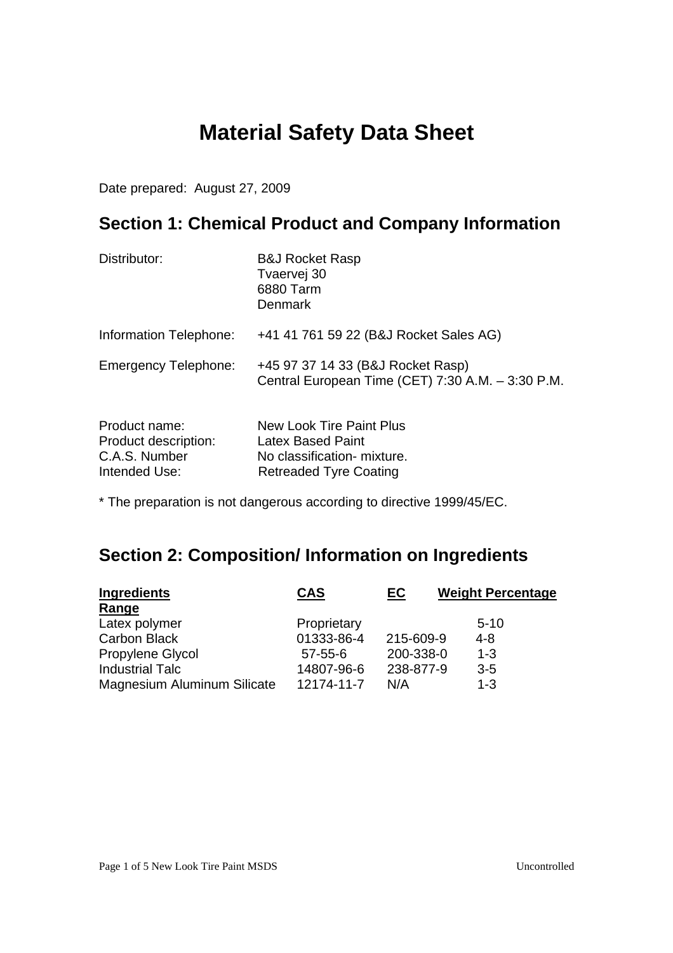# **Material Safety Data Sheet**

Date prepared: August 27, 2009

# **Section 1: Chemical Product and Company Information**

| Distributor:                                                            | <b>B&amp;J Rocket Rasp</b><br>Tvaervej 30<br>6880 Tarm<br>Denmark                                                           |
|-------------------------------------------------------------------------|-----------------------------------------------------------------------------------------------------------------------------|
| Information Telephone:                                                  | +41 41 761 59 22 (B&J Rocket Sales AG)                                                                                      |
| <b>Emergency Telephone:</b>                                             | +45 97 37 14 33 (B&J Rocket Rasp)<br>Central European Time (CET) 7:30 A.M. - 3:30 P.M.                                      |
| Product name:<br>Product description:<br>C.A.S. Number<br>Intended Use: | <b>New Look Tire Paint Plus</b><br><b>Latex Based Paint</b><br>No classification- mixture.<br><b>Retreaded Tyre Coating</b> |

\* The preparation is not dangerous according to directive 1999/45/EC.

# **Section 2: Composition/ Information on Ingredients**

| <b>Ingredients</b>          | <b>CAS</b>    | <u>EC</u> | <b>Weight Percentage</b> |
|-----------------------------|---------------|-----------|--------------------------|
| Range                       |               |           |                          |
| Latex polymer               | Proprietary   |           | $5-10$                   |
| <b>Carbon Black</b>         | 01333-86-4    | 215-609-9 | $4 - 8$                  |
| Propylene Glycol            | $57 - 55 - 6$ | 200-338-0 | $1 - 3$                  |
| <b>Industrial Talc</b>      | 14807-96-6    | 238-877-9 | $3 - 5$                  |
| Magnesium Aluminum Silicate | 12174-11-7    | N/A       | $1 - 3$                  |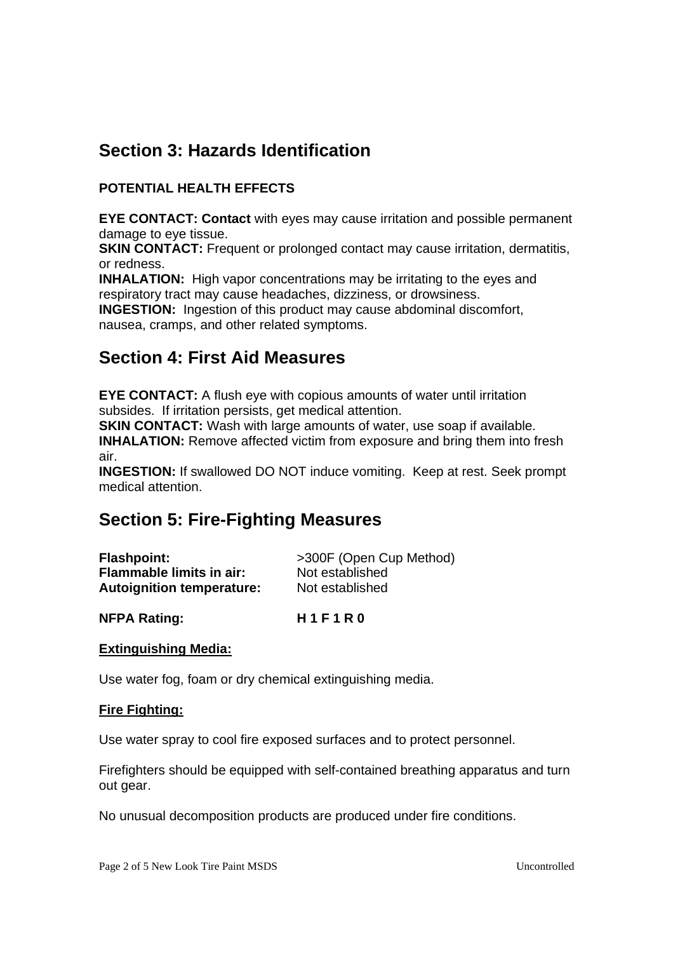# **Section 3: Hazards Identification**

### **POTENTIAL HEALTH EFFECTS**

**EYE CONTACT: Contact** with eyes may cause irritation and possible permanent damage to eye tissue.

**SKIN CONTACT:** Frequent or prolonged contact may cause irritation, dermatitis, or redness.

**INHALATION:** High vapor concentrations may be irritating to the eyes and respiratory tract may cause headaches, dizziness, or drowsiness.

**INGESTION:** Ingestion of this product may cause abdominal discomfort, nausea, cramps, and other related symptoms.

### **Section 4: First Aid Measures**

**EYE CONTACT:** A flush eye with copious amounts of water until irritation subsides. If irritation persists, get medical attention.

**SKIN CONTACT:** Wash with large amounts of water, use soap if available.

**INHALATION:** Remove affected victim from exposure and bring them into fresh air.

**INGESTION:** If swallowed DO NOT induce vomiting. Keep at rest. Seek prompt medical attention.

## **Section 5: Fire-Fighting Measures**

| <b>Flashpoint:</b>               | >300F (Open Cup Method) |
|----------------------------------|-------------------------|
| <b>Flammable limits in air:</b>  | Not established         |
| <b>Autoignition temperature:</b> | Not established         |

### **NFPA Rating: H 1 F 1 R 0**

### **Extinguishing Media:**

Use water fog, foam or dry chemical extinguishing media.

### **Fire Fighting:**

Use water spray to cool fire exposed surfaces and to protect personnel.

Firefighters should be equipped with self-contained breathing apparatus and turn out gear.

No unusual decomposition products are produced under fire conditions.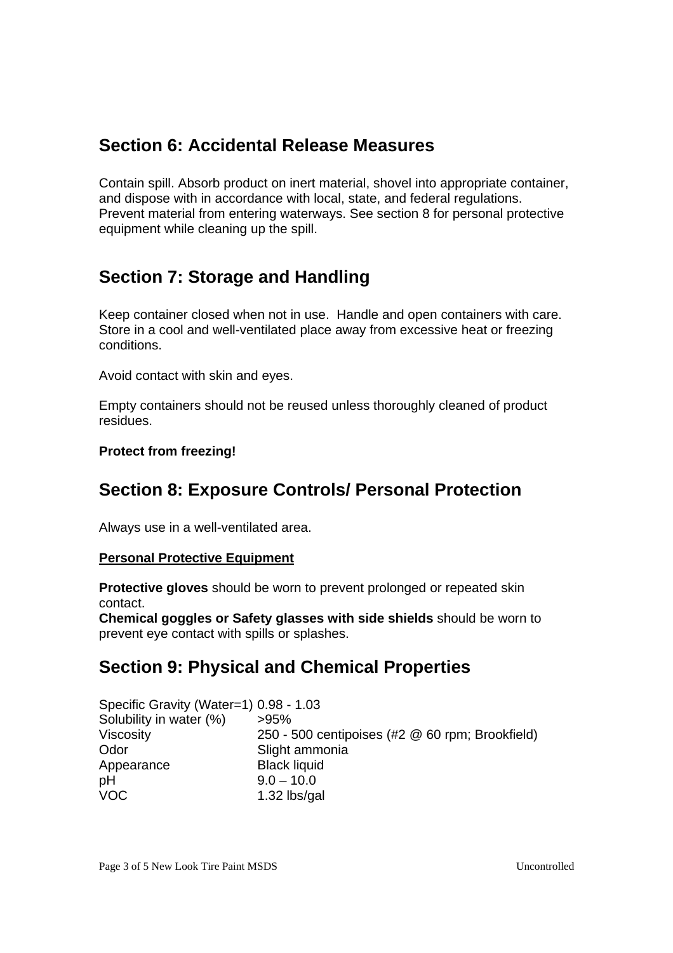# **Section 6: Accidental Release Measures**

Contain spill. Absorb product on inert material, shovel into appropriate container, and dispose with in accordance with local, state, and federal regulations. Prevent material from entering waterways. See section 8 for personal protective equipment while cleaning up the spill.

# **Section 7: Storage and Handling**

Keep container closed when not in use. Handle and open containers with care. Store in a cool and well-ventilated place away from excessive heat or freezing conditions.

Avoid contact with skin and eyes.

Empty containers should not be reused unless thoroughly cleaned of product residues.

### **Protect from freezing!**

## **Section 8: Exposure Controls/ Personal Protection**

Always use in a well-ventilated area.

#### **Personal Protective Equipment**

**Protective gloves** should be worn to prevent prolonged or repeated skin contact.

**Chemical goggles or Safety glasses with side shields** should be worn to prevent eye contact with spills or splashes.

## **Section 9: Physical and Chemical Properties**

| Specific Gravity (Water=1) 0.98 - 1.03 |                                                 |
|----------------------------------------|-------------------------------------------------|
| Solubility in water (%)                | $>95\%$                                         |
| Viscosity                              | 250 - 500 centipoises (#2 @ 60 rpm; Brookfield) |
| Odor                                   | Slight ammonia                                  |
| Appearance                             | <b>Black liquid</b>                             |
| pH                                     | $9.0 - 10.0$                                    |
| <b>VOC</b>                             | 1.32 lbs/gal                                    |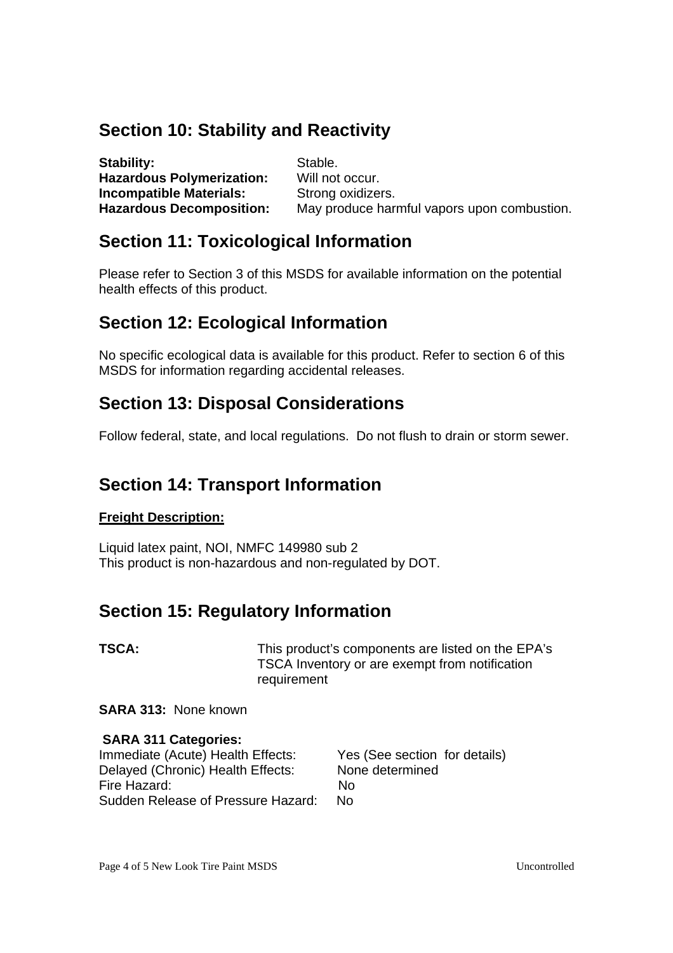## **Section 10: Stability and Reactivity**

| Stability:                       | Stable.                                     |
|----------------------------------|---------------------------------------------|
| <b>Hazardous Polymerization:</b> | Will not occur.                             |
| <b>Incompatible Materials:</b>   | Strong oxidizers.                           |
| <b>Hazardous Decomposition:</b>  | May produce harmful vapors upon combustion. |

### **Section 11: Toxicological Information**

Please refer to Section 3 of this MSDS for available information on the potential health effects of this product.

## **Section 12: Ecological Information**

No specific ecological data is available for this product. Refer to section 6 of this MSDS for information regarding accidental releases.

### **Section 13: Disposal Considerations**

Follow federal, state, and local regulations. Do not flush to drain or storm sewer.

### **Section 14: Transport Information**

### **Freight Description:**

Liquid latex paint, NOI, NMFC 149980 sub 2 This product is non-hazardous and non-regulated by DOT.

### **Section 15: Regulatory Information**

**TSCA:** THIS product's components are listed on the EPA's TSCA Inventory or are exempt from notification requirement

#### **SARA 313:** None known

### **SARA 311 Categories:**

Immediate (Acute) Health Effects: Yes (See section for details) Delayed (Chronic) Health Effects: None determined Fire Hazard: No Sudden Release of Pressure Hazard: No